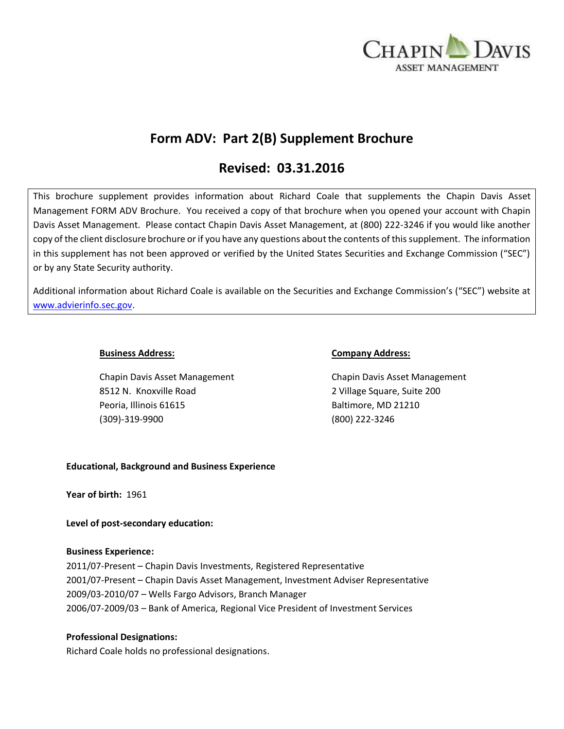

# **Form ADV: Part 2(B) Supplement Brochure**

# **Revised: 03.31.2016**

This brochure supplement provides information about Richard Coale that supplements the Chapin Davis Asset Management FORM ADV Brochure. You received a copy of that brochure when you opened your account with Chapin Davis Asset Management. Please contact Chapin Davis Asset Management, at (800) 222-3246 if you would like another copy of the client disclosure brochure or if you have any questions about the contents of this supplement. The information in this supplement has not been approved or verified by the United States Securities and Exchange Commission ("SEC") or by any State Security authority.

Additional information about Richard Coale is available on the Securities and Exchange Commission's ("SEC") website at [www.advierinfo.sec.gov.](http://www.advierinfo.sec.gov/)

Chapin Davis Asset Management Chapin Davis Asset Management 8512 N. Knoxville Road 2 Village Square, Suite 200 Peoria, Illinois 61615 Baltimore, MD 21210 (309)-319-9900 (800) 222-3246

### **Business Address: Company Address:**

# **Educational, Background and Business Experience**

**Year of birth:** 1961

**Level of post-secondary education:** 

# **Business Experience:**

2011/07-Present – Chapin Davis Investments, Registered Representative 2001/07-Present – Chapin Davis Asset Management, Investment Adviser Representative 2009/03-2010/07 – Wells Fargo Advisors, Branch Manager 2006/07-2009/03 – Bank of America, Regional Vice President of Investment Services

# **Professional Designations:**

Richard Coale holds no professional designations.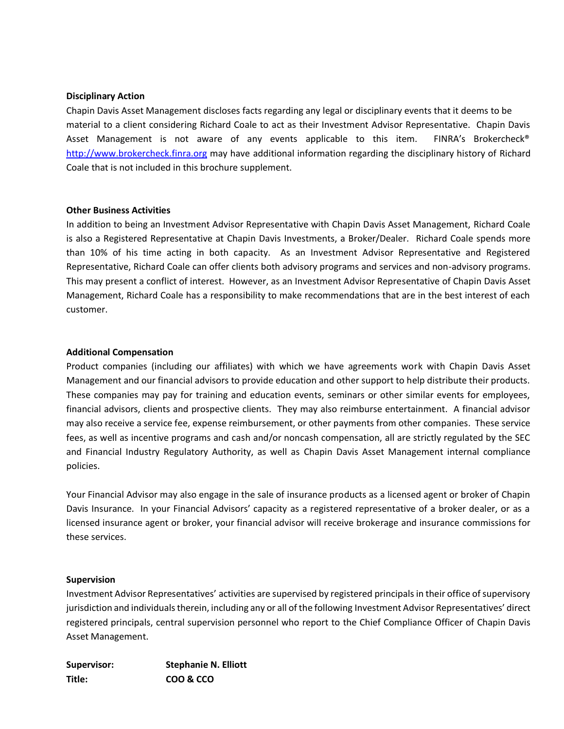### **Disciplinary Action**

Chapin Davis Asset Management discloses facts regarding any legal or disciplinary events that it deems to be material to a client considering Richard Coale to act as their Investment Advisor Representative. Chapin Davis Asset Management is not aware of any events applicable to this item. FINRA's Brokercheck® [http://www.brokercheck.finra.org](http://www.brokercheck.finra.org/) may have additional information regarding the disciplinary history of Richard Coale that is not included in this brochure supplement.

### **Other Business Activities**

In addition to being an Investment Advisor Representative with Chapin Davis Asset Management, Richard Coale is also a Registered Representative at Chapin Davis Investments, a Broker/Dealer. Richard Coale spends more than 10% of his time acting in both capacity. As an Investment Advisor Representative and Registered Representative, Richard Coale can offer clients both advisory programs and services and non-advisory programs. This may present a conflict of interest. However, as an Investment Advisor Representative of Chapin Davis Asset Management, Richard Coale has a responsibility to make recommendations that are in the best interest of each customer.

### **Additional Compensation**

Product companies (including our affiliates) with which we have agreements work with Chapin Davis Asset Management and our financial advisors to provide education and other support to help distribute their products. These companies may pay for training and education events, seminars or other similar events for employees, financial advisors, clients and prospective clients. They may also reimburse entertainment. A financial advisor may also receive a service fee, expense reimbursement, or other payments from other companies. These service fees, as well as incentive programs and cash and/or noncash compensation, all are strictly regulated by the SEC and Financial Industry Regulatory Authority, as well as Chapin Davis Asset Management internal compliance policies.

Your Financial Advisor may also engage in the sale of insurance products as a licensed agent or broker of Chapin Davis Insurance. In your Financial Advisors' capacity as a registered representative of a broker dealer, or as a licensed insurance agent or broker, your financial advisor will receive brokerage and insurance commissions for these services.

#### **Supervision**

Investment Advisor Representatives' activities are supervised by registered principals in their office of supervisory jurisdiction and individuals therein, including any or all of the following Investment Advisor Representatives' direct registered principals, central supervision personnel who report to the Chief Compliance Officer of Chapin Davis Asset Management.

| Supervisor: | <b>Stephanie N. Elliott</b> |
|-------------|-----------------------------|
| Title:      | COO & CCO                   |